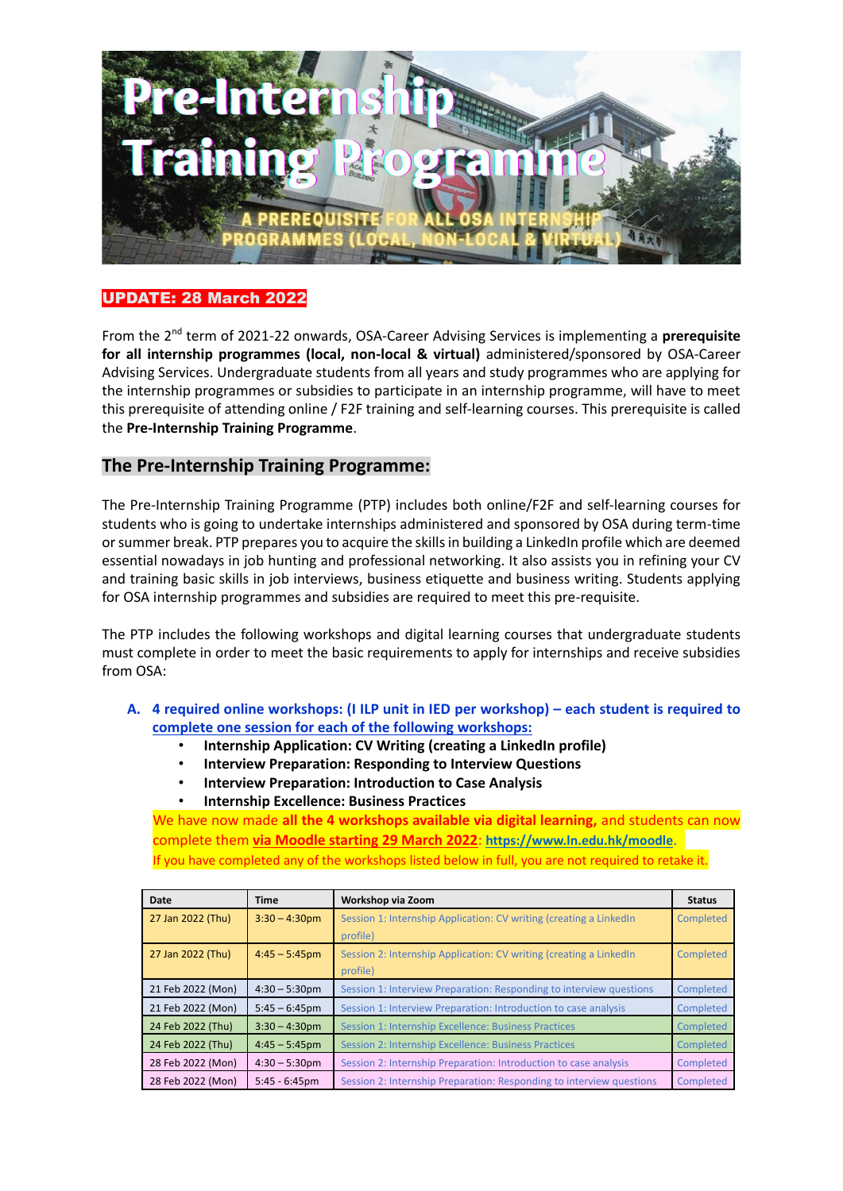

## UPDATE: 28 March 2022

From the 2nd term of 2021-22 onwards, OSA-Career Advising Services is implementing a **prerequisite for all internship programmes (local, non-local & virtual)** administered/sponsored by OSA-Career Advising Services. Undergraduate students from all years and study programmes who are applying for the internship programmes or subsidies to participate in an internship programme, will have to meet this prerequisite of attending online / F2F training and self-learning courses. This prerequisite is called the **Pre-Internship Training Programme**.

## **The Pre-Internship Training Programme:**

The Pre-Internship Training Programme (PTP) includes both online/F2F and self-learning courses for students who is going to undertake internships administered and sponsored by OSA during term-time or summer break. PTP prepares you to acquire the skills in building a LinkedIn profile which are deemed essential nowadays in job hunting and professional networking. It also assists you in refining your CV and training basic skills in job interviews, business etiquette and business writing. Students applying for OSA internship programmes and subsidies are required to meet this pre-requisite.

The PTP includes the following workshops and digital learning courses that undergraduate students must complete in order to meet the basic requirements to apply for internships and receive subsidies from OSA:

- **A. 4 required online workshops: (I ILP unit in IED per workshop) – each student is required to complete one session for each of the following workshops:**
	- **Internship Application: CV Writing (creating a LinkedIn profile)**
	- **Interview Preparation: Responding to Interview Questions**
	- **Interview Preparation: Introduction to Case Analysis**
	- **Internship Excellence: Business Practices**

We have now made **all the 4 workshops available via digital learning,** and students can now complete them **via Moodle starting 29 March 2022**: **<https://www.ln.edu.hk/moodle>**. If you have completed any of the workshops listed below in full, you are not required to retake it.

| Date              | Time             | Workshop via Zoom                                                    | <b>Status</b> |
|-------------------|------------------|----------------------------------------------------------------------|---------------|
| 27 Jan 2022 (Thu) | $3:30 - 4:30$ pm | Session 1: Internship Application: CV writing (creating a LinkedIn   | Completed     |
|                   |                  | profile)                                                             |               |
| 27 Jan 2022 (Thu) | $4:45 - 5:45$ pm | Session 2: Internship Application: CV writing (creating a LinkedIn   | Completed     |
|                   |                  | profile)                                                             |               |
| 21 Feb 2022 (Mon) | $4:30 - 5:30$ pm | Session 1: Interview Preparation: Responding to interview questions  | Completed     |
| 21 Feb 2022 (Mon) | $5:45 - 6:45$ pm | Session 1: Interview Preparation: Introduction to case analysis      | Completed     |
| 24 Feb 2022 (Thu) | $3:30 - 4:30$ pm | Session 1: Internship Excellence: Business Practices                 | Completed     |
| 24 Feb 2022 (Thu) | $4:45 - 5:45$ pm | Session 2: Internship Excellence: Business Practices                 | Completed     |
| 28 Feb 2022 (Mon) | $4:30 - 5:30$ pm | Session 2: Internship Preparation: Introduction to case analysis     | Completed     |
| 28 Feb 2022 (Mon) | $5:45 - 6:45$ pm | Session 2: Internship Preparation: Responding to interview questions | Completed     |